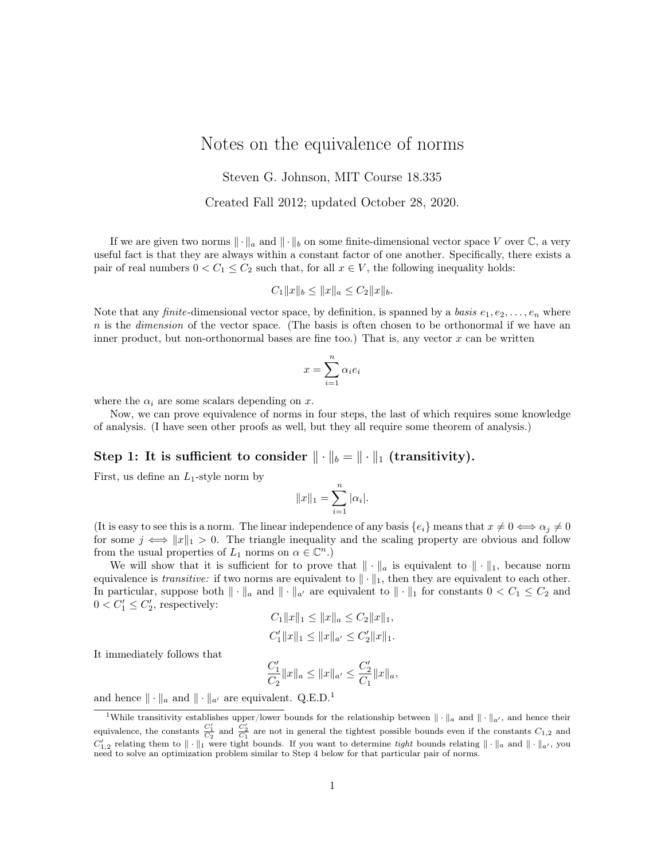# Notes on the equivalence of norms

Steven G. Johnson, MIT Course 18.335

Created Fall 2012; updated October 28, 2020.

If we are given two norms  $\|\cdot\|_a$  and  $\|\cdot\|_b$  on some finite-dimensional vector space V over  $\mathbb C$ , a very useful fact is that they are always within a constant factor of one another. Specifically, there exists a pair of real numbers  $0 < C_1 \leq C_2$  such that, for all  $x \in V$ , the following inequality holds:

$$
C_1||x||_b \le ||x||_a \le C_2||x||_b.
$$

Note that any finite-dimensional vector space, by definition, is spanned by a basis  $e_1, e_2, \ldots, e_n$  where  $n$  is the *dimension* of the vector space. (The basis is often chosen to be orthonormal if we have an inner product, but non-orthonormal bases are fine too.) That is, any vector  $x$  can be written

$$
x = \sum_{i=1}^{n} \alpha_i e_i
$$

where the  $\alpha_i$  are some scalars depending on x.

Now, we can prove equivalence of norms in four steps, the last of which requires some knowledge of analysis. (I have seen other proofs as well, but they all require some theorem of analysis.)

#### Step 1: It is sufficient to consider  $\|\cdot\|_b = \|\cdot\|_1$  (transitivity).

First, us define an  $L_1$ -style norm by

$$
||x||_1 = \sum_{i=1}^n |\alpha_i|.
$$

(It is easy to see this is a norm. The linear independence of any basis  $\{e_i\}$  means that  $x \neq 0 \iff \alpha_i \neq 0$ for some  $j \iff ||x||_1 > 0$ . The triangle inequality and the scaling property are obvious and follow from the usual properties of  $L_1$  norms on  $\alpha \in \mathbb{C}^n$ .)

We will show that it is sufficient for to prove that  $\|\cdot\|_a$  is equivalent to  $\|\cdot\|_1$ , because norm equivalence is *transitive:* if two norms are equivalent to  $\|\cdot\|_1$ , then they are equivalent to each other. In particular, suppose both  $\|\cdot\|_a$  and  $\|\cdot\|_{a'}$  are equivalent to  $\|\cdot\|_1$  for constants  $0 < C_1 \le C_2$  and  $0 < C'_1 \leq C'_2$ , respectively:

$$
C_1 ||x||_1 \le ||x||_a \le C_2 ||x||_1,
$$
  

$$
C'_1 ||x||_1 \le ||x||_{a'} \le C'_2 ||x||_1.
$$

It immediately follows that

$$
\frac{C_1'}{C_2}||x||_a \le ||x||_{a'} \le \frac{C_2'}{C_1}||x||_a,
$$

and hence  $\|\cdot\|_a$  and  $\|\cdot\|_{a'}$  are equivalent. Q.E.D.<sup>1</sup>

<sup>&</sup>lt;sup>1</sup>While transitivity establishes upper/lower bounds for the relationship between  $\|\cdot\|_a$  and  $\|\cdot\|_{a'}$ , and hence their equivalence, the constants  $\frac{C_1'}{C_2}$  and  $\frac{C_2'}{C_1}$  are not in general the tightest possible bounds even if the constants  $C_{1,2}$  and  $C'_{1,2}$  relating them to  $\|\cdot\|_1$  were tight bounds. If you want to determine tight bounds relating  $\|\cdot\|_a$  and  $\|\cdot\|_{a'}$ , you need to solve an optimization problem similar to Step 4 below for that particular pair of norms.